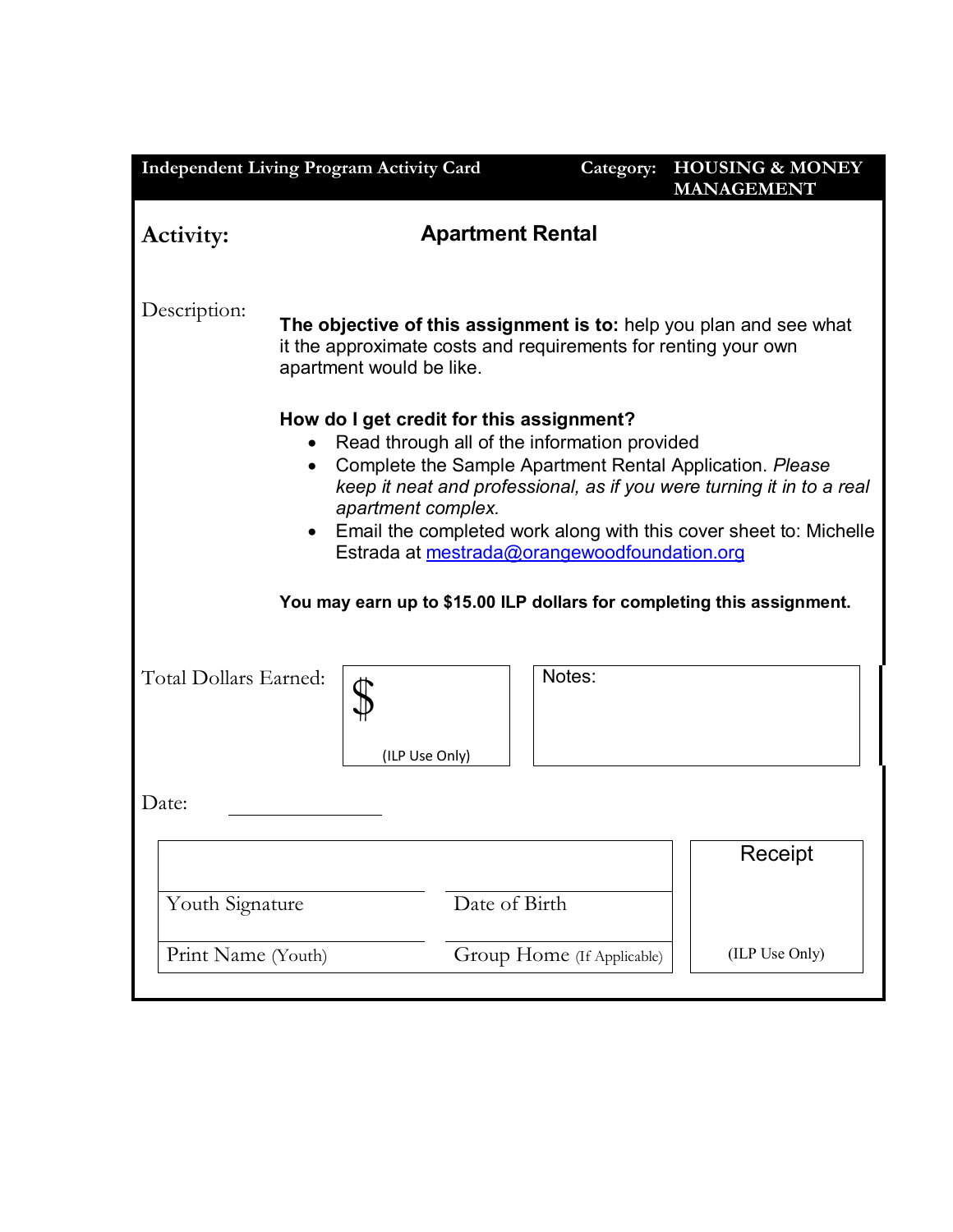| <b>Independent Living Program Activity Card</b> |                                                                                                                                                                                                                                                                                                      | Category:                  | <b>HOUSING &amp; MONEY</b><br><b>MANAGEMENT</b>                                                                                            |  |  |
|-------------------------------------------------|------------------------------------------------------------------------------------------------------------------------------------------------------------------------------------------------------------------------------------------------------------------------------------------------------|----------------------------|--------------------------------------------------------------------------------------------------------------------------------------------|--|--|
| <b>Activity:</b>                                | <b>Apartment Rental</b>                                                                                                                                                                                                                                                                              |                            |                                                                                                                                            |  |  |
| Description:                                    | The objective of this assignment is to: help you plan and see what<br>it the approximate costs and requirements for renting your own<br>apartment would be like.                                                                                                                                     |                            |                                                                                                                                            |  |  |
|                                                 | How do I get credit for this assignment?<br>Read through all of the information provided<br>Complete the Sample Apartment Rental Application. Please<br>apartment complex.<br>Estrada at mestrada@orangewoodfoundation.org<br>You may earn up to \$15.00 ILP dollars for completing this assignment. |                            | keep it neat and professional, as if you were turning it in to a real<br>Email the completed work along with this cover sheet to: Michelle |  |  |
| Total Dollars Earned:                           | (ILP Use Only)                                                                                                                                                                                                                                                                                       | Notes:                     |                                                                                                                                            |  |  |
| Date:                                           |                                                                                                                                                                                                                                                                                                      |                            |                                                                                                                                            |  |  |
| Youth Signature                                 | Date of Birth                                                                                                                                                                                                                                                                                        |                            | Receipt                                                                                                                                    |  |  |
| Print Name (Youth)                              |                                                                                                                                                                                                                                                                                                      | Group Home (If Applicable) | (ILP Use Only)                                                                                                                             |  |  |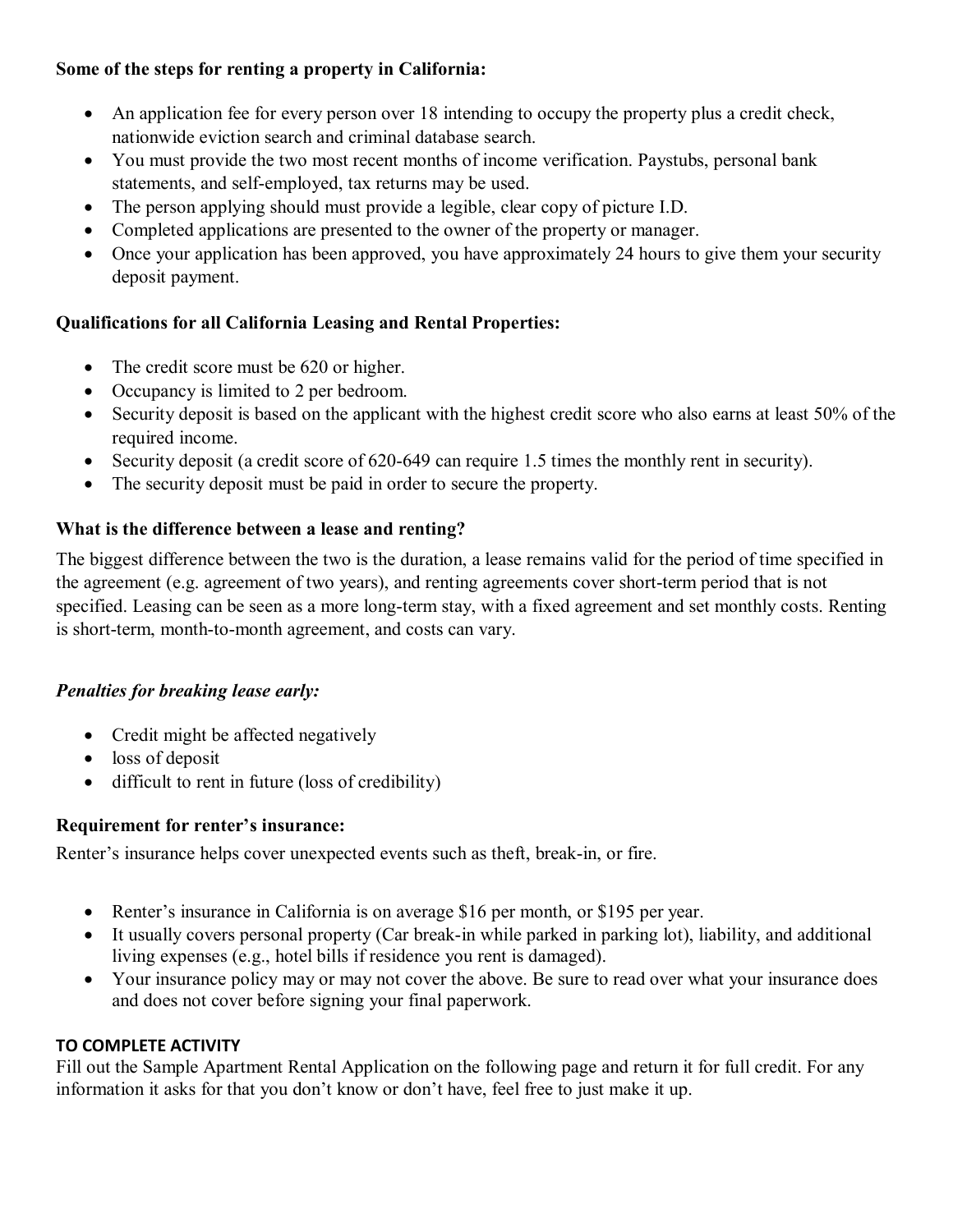### **Some of the steps for renting a property in California:**

- An application fee for every person over 18 intending to occupy the property plus a credit check, nationwide eviction search and criminal database search.
- You must provide the two most recent months of income verification. Paystubs, personal bank statements, and self-employed, tax returns may be used.
- The person applying should must provide a legible, clear copy of picture I.D.
- Completed applications are presented to the owner of the property or manager.
- Once your application has been approved, you have approximately 24 hours to give them your security deposit payment.

## **Qualifications for all California Leasing and Rental Properties:**

- The credit score must be 620 or higher.
- Occupancy is limited to 2 per bedroom.
- Security deposit is based on the applicant with the highest credit score who also earns at least 50% of the required income.
- Security deposit (a credit score of 620-649 can require 1.5 times the monthly rent in security).
- The security deposit must be paid in order to secure the property.

### **What is the difference between a lease and renting?**

The biggest difference between the two is the duration, a lease remains valid for the period of time specified in the agreement (e.g. agreement of two years), and renting agreements cover short-term period that is not specified. Leasing can be seen as a more long-term stay, with a fixed agreement and set monthly costs. Renting is short-term, month-to-month agreement, and costs can vary.

### *Penalties for breaking lease early:*

- Credit might be affected negatively
- loss of deposit
- difficult to rent in future (loss of credibility)

### **Requirement for renter's insurance:**

Renter's insurance helps cover unexpected events such as theft, break-in, or fire.

- Renter's insurance in California is on average \$16 per month, or \$195 per year.
- It usually covers personal property (Car break-in while parked in parking lot), liability, and additional living expenses (e.g., hotel bills if residence you rent is damaged).
- Your insurance policy may or may not cover the above. Be sure to read over what your insurance does and does not cover before signing your final paperwork.

### **TO COMPLETE ACTIVITY**

Fill out the Sample Apartment Rental Application on the following page and return it for full credit. For any information it asks for that you don't know or don't have, feel free to just make it up.